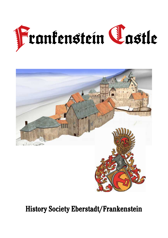



# History Society Eberstadt/Frankenstein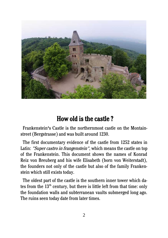

## How old is the castle ?

Frankenstein's Castle is the northernmost castle on the Montainstreet (Bergstrasse) and was built around 1230.

The first documentary evidence of the castle from 1252 states in Latin: "Super castro in frangenstein", which means the castle on top of the Frankenstein. This document shows the names of Konrad Reiz von Breuberg and his wife Elisabeth (born von Weiterstadt), the founders not only of the castle but also of the family Frankenstein which still exists today.

The oldest part of the castle is the southern inner tower which dates from the 13<sup>th</sup> century, but there is little left from that time: only the foundation walls and subterranean vaults submerged long ago. The ruins seen today date from later times.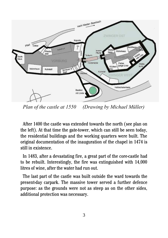

*Plan of the castle at 1550 (Drawing by Michael Müller)*

After 1400 the castle was extended towards the north (see plan on the left). At that time the gate-tower, which can still be seen today, the residential buildings and the working quarters were built. The original documentation of the inauguration of the chapel in 1474 is still in existence.

In 1483, after a devastating fire, a great part of the core-castle had to be rebuilt. Interestingly, the fire was extinguished with 14,000 litres of wine, after the water had run out.

The last part of the castle was built outside the ward towards the present-day carpark. The massive tower served a further defence purpose: as the grounds were not as steep as on the other sides, additional protection was necessary.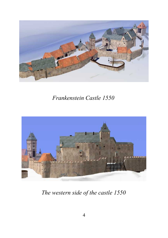

## *Frankenstein Castle 1550*



*The western side of the castle 1550*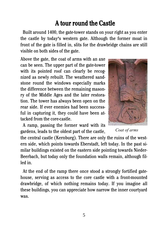## A tour round the Castle

Built around 1400, the gate-tower stands on your right as you enter the castle by today's western gate. Although the former moat in front of the gate is filled in, slits for the drawbridge chains are still visible on both sides of the gate.

Above the gate, the coat of arms with an axe can be seen. The upper part of the gate-tower with its pointed roof can clearly be recognized as newly rebuilt. The weathered sandstone round the windows especially marks the difference between the remaining masonry of the Middle Ages and the later restoration. The tower has always been open on the rear side. If ever enemies had been successful in capturing it, they could have been attacked from the core-castle.

A ramp, passing the former ward with its gardens, leads to the oldest part of the castle,



 *Coat of arms*

the central castle (Kernburg). There are only the ruins of the western side, which points towards Eberstadt, left today. In the past similar buildings existed on the eastern side pointing towards Nieder-Beerbach, but today only the foundation walls remain, although filled in.

At the end of the ramp there once stood a strongly fortified gatehouse, serving as access to the core castle with a front-mounted drawbridge, of which nothing remains today. If you imagine all these buildings, you can appreciate how narrow the inner courtyard was.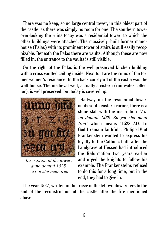There was no keep, so no large central tower, in this oldest part of the castle, as there was simply no room for one. The southern tower over-looking the ruins today was a residential tower, to which the other buildings were attached. The massively -built former manor house (Palas) with its prominent tower of stairs is still easily recognizable. Beneath the Palas there are vaults. Although these are now filled in, the entrance to the vaults is still visible.

On the right of the Palas is the well-preserved kitchen building with a cross-vaulted ceiling inside. Next to it are the ruins of the former women's residence. In the back courtyard of the castle was the well house. The medieval well, actually a cistern (rainwater collector), is well preserved, but today is covered up.



*Inscription at the tower: anno domini 1528 zu got stet mein treu*

Halfway up the residential tower, on its south-eastern corner, there is a stone slab with the inscription "Anno domini 1528. Zu got stet mein treu" which means "1528 AD. To God I remain faithful". Philipp IV of Frankenstein wanted to express his loyalty to the Catholic faith after the Landgrave of Hessen had introduced the Reformation two years earlier and urged the knights to follow his example. The Frankensteins refused to do this for a long time, but in the end, they had to give in.

The year 1527, written in the frieze of the left window, refers to the end of the reconstruction of the castle after the fire mentioned above.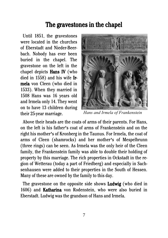### The gravestones in the chapel

Until 1851, the gravestones were located in the churches of Eberstadt and Nieder-Beerbach. Nobody has ever been buried in the chapel. The gravestone on the left in the chapel depicts Hans IV (who died in 1558) and his wife Irmela von Cleen (who died in 1533). When they married in 1508 Hans was 16 years old and Irmela only 14. They went on to have 13 children during their 25-year marriage.



 *Hans and Irmela of Frankenstein*

Above their heads are the coats of arms of their parents. For Hans, on the left is his father's coat of arms of Frankenstein and on the right his mother's of Kronberg in the Taunus. For Irmela, the coat of arms of Cleen (shamrocks) and her mother's of Mespelbrunn (three rings) can be seen. As Irmela was the only heir of the Cleen family, the Frankenstein family was able to double their holding of property by this marriage. The rich properties in Ockstadt in the region of Wetterau (today a part of Friedberg) and especially in Sachsenhausen were added to their properties in the South of Hessen. Many of these are owned by the family to this day.

The gravestone on the opposite side shows **Ludwig** (who died in 1606) and Katharina von Rodenstein, who were also buried in Eberstadt. Ludwig was the grandson of Hans and Irmela.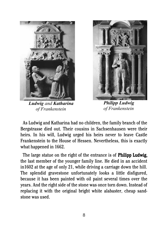

*Ludwig and Katharina of Frankenstein*



*Philipp Ludwig of Frankenstein*

As Ludwig and Katharina had no children, the family branch of the Bergstrasse died out. Their cousins in Sachsenhausen were their heirs. In his will, Ludwig urged his heirs never to leave Castle Frankenstein to the House of Hessen. Nevertheless, this is exactly what happened in 1662.

The large statue on the right of the entrance is of Philipp Ludwig, the last member of the younger family line. He died in an accident in1602 at the age of only 21, while driving a carriage down the hill. The splendid gravestone unfortunately looks a little disfigured, because it has been painted with oil paint several times over the years. And the right side of the stone was once torn down. Instead of replacing it with the original bright white alabaster, cheap sandstone was used.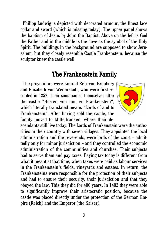Philipp Ludwig is depicted with decorated armour, the finest lace collar and sword (which is missing today). The upper panel shows the baptism of Jesus by John the Baptist. Above on the left is God the Father and in the middle is the dove as the symbol of the Holy Spirit. The buildings in the background are supposed to show Jerusalem, but they closely resemble Castle Frankenstein, because the sculptor knew the castle well.

#### The Frankenstein Family

The progenitors were Konrad Reiz von Breuberg and Elisabeth von Weiterstadt, who were first recorded in 1252. Their sons named themselves after the castle "Herren von und zu Frankenstein", which literally translated means "Lords of and to Frankenstein". After having sold the castle, the family moved to Mittelfranken, where their de-



scendants still live today. The Lords of Frankenstein were the authorities in their country with seven villages. They appointed the local administration and the reverends, were lords of the court – admittedly only for minor jurisdiction – and they controlled the economic administration of the communities and churches. Their subjects had to serve them and pay taxes. Paying tax today is different from what it meant at that time, when taxes were paid as labour services in the Frankenstein's fields, vineyards and estates. In return, the Frankensteins were responsible for the protection of their subjects and had to ensure their security, their jurisdiction and that they obeyed the law. This they did for 400 years. In 1402 they were able to significantly improve their aristocratic position, because the castle was placed directly under the protection of the German Empire (Reich) and the Emperor (the Kaiser).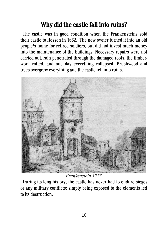# Why did the castle fall into ruins?

The castle was in good condition when the Frankensteins sold their castle to Hessen in 1662. The new owner turned it into an old people's home for retired soldiers, but did not invest much money into the maintenance of the buildings. Necessary repairs were not carried out, rain penetrated through the damaged roofs, the timberwork rotted, and one day everything collapsed. Brushwood and trees overgrew everything and the castle fell into ruins.



*Frankenstein 1775*

During its long history, the castle has never had to endure sieges or any military conflicts: simply being exposed to the elements led to its destruction.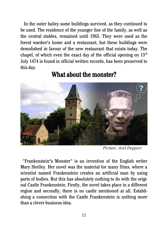In the outer bailey some buildings survived, as they continued to be used. The residence of the younger line of the family, as well as the central stables, remained until 1965. They were used as the forest warden's home and a restaurant, but these buildings were demolished in favour of the new restaurant that exists today. The chapel, of which even the exact day of the official opening on  $13<sup>th</sup>$ July 1474 is found in official written records, has been preserved to this day.

## What about the monster?

*Picture: Axel Deppert*

 "Frankenstein's Monster" is an invention of the English writer Mary Shelley. Her novel was the material for many films, where a scientist named Frankenstein creates an artificial man by using parts of bodies. But this has absolutely nothing to do with the original Castle Frankenstein. Firstly, the novel takes place in a different region and secondly, there is no castle mentioned at all. Establishing a connection with the Castle Frankenstein is nothing more than a clever business idea.